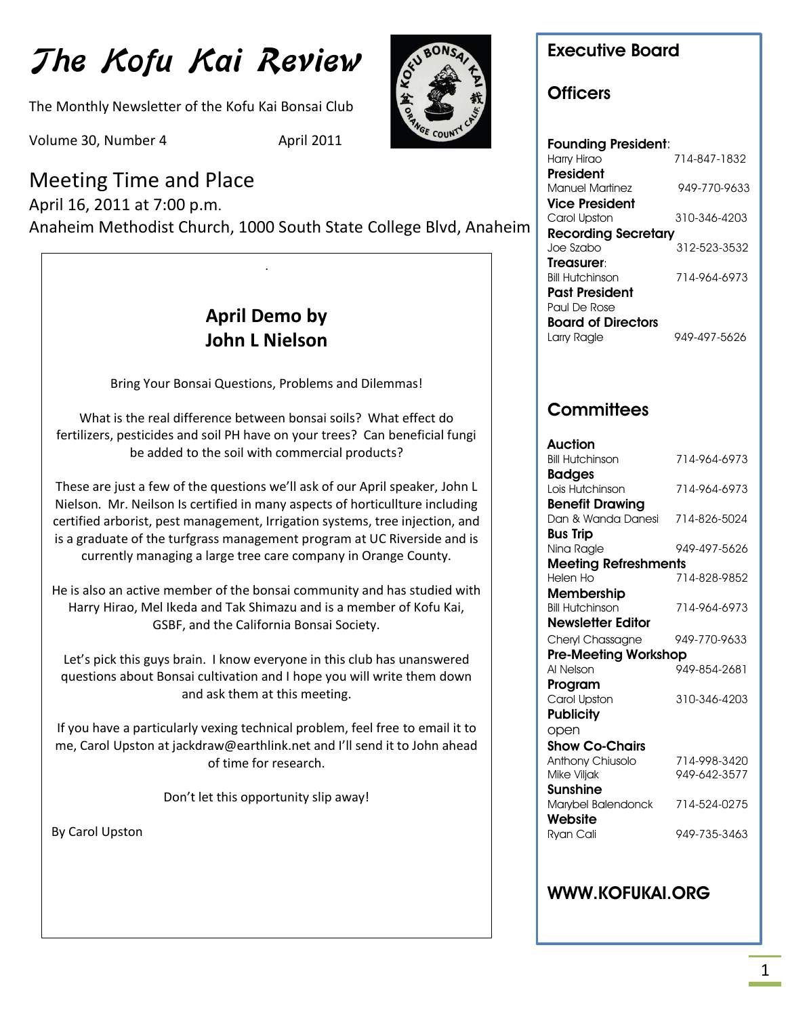# The Kofu Kai Review

The Monthly Newsletter of the Kofu Kai Bonsai Club

Volume 30, Number 4 April 2011

# Meeting Time and Place

April 16, 2011 at 7:00 p.m. Anaheim Methodist Church, 1000 South State College Blvd, Anaheim

# **April Demo by John L Nielson**

.

Bring Your Bonsai Questions, Problems and Dilemmas!

What is the real difference between bonsai soils? What effect do fertilizers, pesticides and soil PH have on your trees? Can beneficial fungi be added to the soil with commercial products?

These are just a few of the questions we'll ask of our April speaker, John L Nielson. Mr. Neilson Is certified in many aspects of horticullture including certified arborist, pest management, Irrigation systems, tree injection, and is a graduate of the turfgrass management program at UC Riverside and is currently managing a large tree care company in Orange County.

Harry Hirao, Mel Ikeda and Tak Shimazu and is a member of Kofu Kai, He is also an active member of the bonsai community and has studied with GSBF, and the California Bonsai Society.

Let's pick this guys brain. I know everyone in this club has unanswered questions about Bonsai cultivation and I hope you will write them down and ask them at this meeting.

If you have a particularly vexing technical problem, feel free to email it to me, Carol Upston at jackdraw@earthlink.net and I'll send it to John ahead of time for research.

Don't let this opportunity slip away!

By Carol Upston



### **Executive Board**

#### **Officers**

**Founding President**: Harry Hirao 714-847-1832 **President** Manuel Martinez 949-770-9633 **Vice President** Carol Upston 310-346-4203 **Recording Secretary** Joe Szabo 312-523-3532 **Treasurer**: Bill Hutchinson 714-964-6973 **Past President** Paul De Rose **Board of Directors** Larry Ragle 949-497-5626

### **Committees**

| Auction                     |              |
|-----------------------------|--------------|
| <b>Bill Hutchinson</b>      | 714-964-6973 |
| <b>Badges</b>               |              |
| Lois Hutchinson             | 714-964-6973 |
| <b>Benefit Drawing</b>      |              |
| Dan & Wanda Danesi          | 714-826-5024 |
| <b>Bus Trip</b>             |              |
| Nina Ragle                  | 949-497-5626 |
| <b>Meeting Refreshments</b> |              |
| Helen Ho                    | 714-828-9852 |
| Membership                  |              |
| <b>Bill Hutchinson</b>      | 714-964-6973 |
| <b>Newsletter Editor</b>    |              |
| Cheryl Chassagne            | 949-770-9633 |
| <b>Pre-Meeting Workshop</b> |              |
| Al Nelson                   | 949-854-2681 |
| Program                     |              |
| Carol Upston                | 310-346-4203 |
| <b>Publicity</b>            |              |
| open                        |              |
| <b>Show Co-Chairs</b>       |              |
| Anthony Chiusolo            | 714-998-3420 |
| Mike Viljak                 | 949-642-3577 |
| Sunshine                    |              |
| Marybel Balendonck          | 714-524-0275 |
| Website                     |              |
| Ryan Cali                   | 949-735-3463 |
|                             |              |

#### **WWW.KOFUKAI.ORG**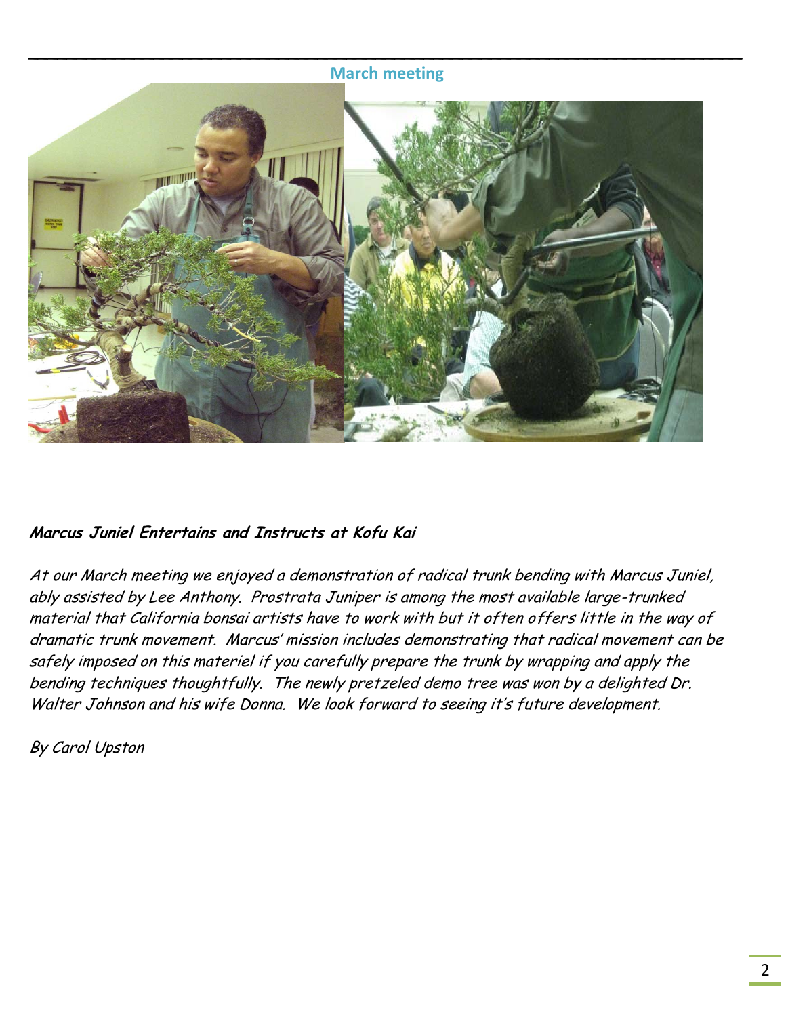#### **March meeting**



#### **Marcus Juniel Entertains and Instructs at Kofu Kai**

At our March meeting we enjoyed a demonstration of radical trunk bending with Marcus Juniel, ably assisted by Lee Anthony. Prostrata Juniper is among the most available large-trunked material that California bonsai artists have to work with but it often offers little in the way of dramatic trunk movement. Marcus' mission includes demonstrating that radical movement can be safely imposed on this materiel if you carefully prepare the trunk by wrapping and apply the bending techniques thoughtfully. The newly pretzeled demo tree was won by a delighted Dr. Walter Johnson and his wife Donna. We look forward to seeing it's future development.

By Carol Upston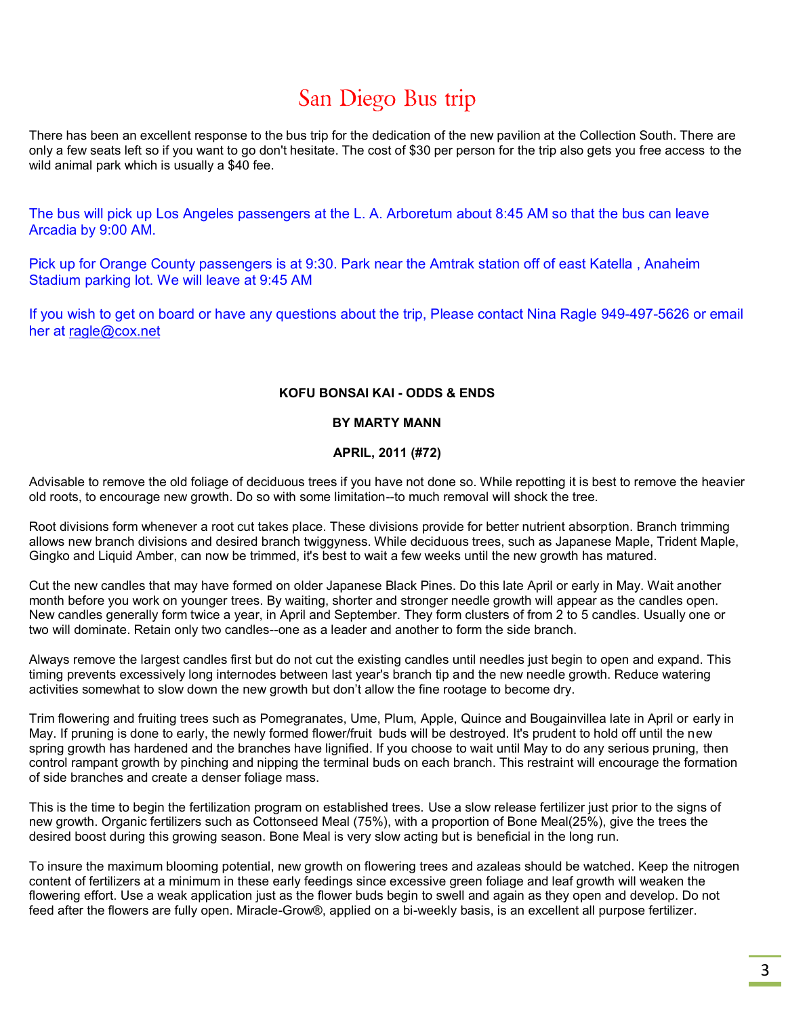# San Diego Bus trip

There has been an excellent response to the bus trip for the dedication of the new pavilion at the Collection South. There are only a few seats left so if you want to go don't hesitate. The cost of \$30 per person for the trip also gets you free access to the wild animal park which is usually a \$40 fee.

The bus will pick up Los Angeles passengers at the L. A. Arboretum about 8:45 AM so that the bus can leave Arcadia by 9:00 AM.

Pick up for Orange County passengers is at 9:30. Park near the Amtrak station off of east Katella , Anaheim Stadium parking lot. We will leave at 9:45 AM

If you wish to get on board or have any questions about the trip, Please contact Nina Ragle 949-497-5626 or email her at [ragle@cox.net](mailto:ragle@cox.net)

#### **KOFU BONSAI KAI - ODDS & ENDS**

#### **BY MARTY MANN**

#### **APRIL, 2011 (#72)**

Advisable to remove the old foliage of deciduous trees if you have not done so. While repotting it is best to remove the heavier old roots, to encourage new growth. Do so with some limitation--to much removal will shock the tree.

Root divisions form whenever a root cut takes place. These divisions provide for better nutrient absorption. Branch trimming allows new branch divisions and desired branch twiggyness. While deciduous trees, such as Japanese Maple, Trident Maple, Gingko and Liquid Amber, can now be trimmed, it's best to wait a few weeks until the new growth has matured.

Cut the new candles that may have formed on older Japanese Black Pines. Do this late April or early in May. Wait another month before you work on younger trees. By waiting, shorter and stronger needle growth will appear as the candles open. New candles generally form twice a year, in April and September. They form clusters of from 2 to 5 candles. Usually one or two will dominate. Retain only two candles--one as a leader and another to form the side branch.

Always remove the largest candles first but do not cut the existing candles until needles just begin to open and expand. This timing prevents excessively long internodes between last year's branch tip and the new needle growth. Reduce watering activities somewhat to slow down the new growth but don't allow the fine rootage to become dry.

Trim flowering and fruiting trees such as Pomegranates, Ume, Plum, Apple, Quince and Bougainvillea late in April or early in May. If pruning is done to early, the newly formed flower/fruit buds will be destroyed. It's prudent to hold off until the new spring growth has hardened and the branches have lignified. If you choose to wait until May to do any serious pruning, then control rampant growth by pinching and nipping the terminal buds on each branch. This restraint will encourage the formation of side branches and create a denser foliage mass.

This is the time to begin the fertilization program on established trees. Use a slow release fertilizer just prior to the signs of new growth. Organic fertilizers such as Cottonseed Meal (75%), with a proportion of Bone Meal(25%), give the trees the desired boost during this growing season. Bone Meal is very slow acting but is beneficial in the long run.

To insure the maximum blooming potential, new growth on flowering trees and azaleas should be watched. Keep the nitrogen content of fertilizers at a minimum in these early feedings since excessive green foliage and leaf growth will weaken the flowering effort. Use a weak application just as the flower buds begin to swell and again as they open and develop. Do not feed after the flowers are fully open. Miracle-Grow®, applied on a bi-weekly basis, is an excellent all purpose fertilizer.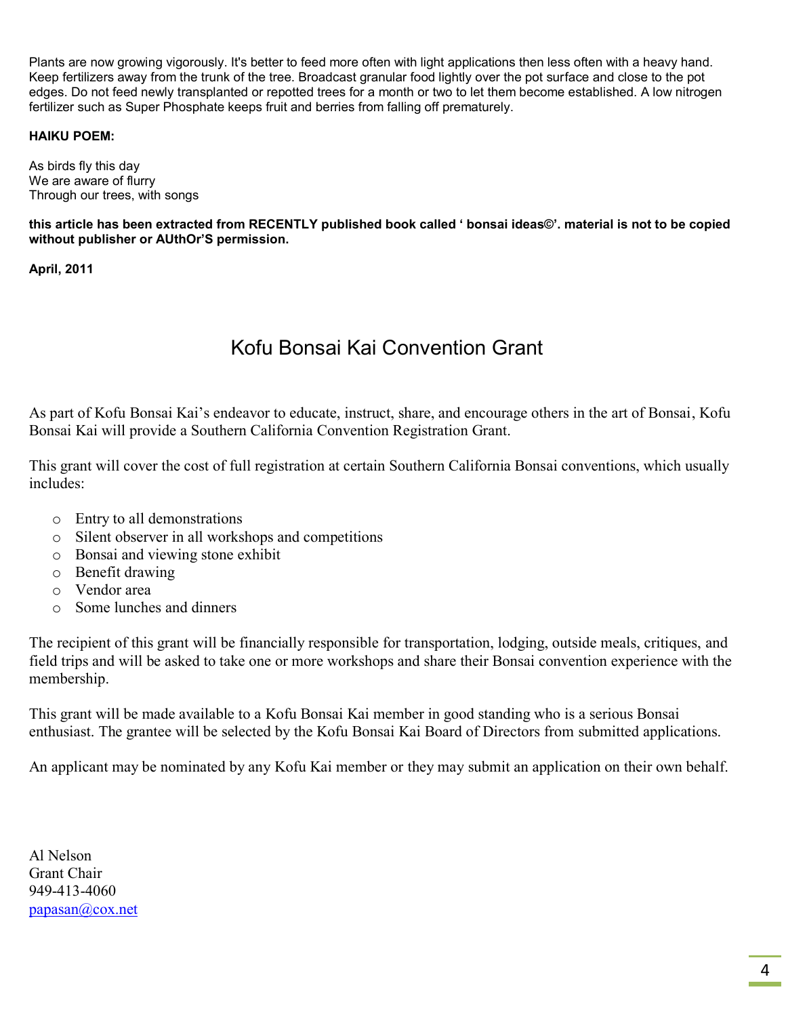Plants are now growing vigorously. It's better to feed more often with light applications then less often with a heavy hand. Keep fertilizers away from the trunk of the tree. Broadcast granular food lightly over the pot surface and close to the pot edges. Do not feed newly transplanted or repotted trees for a month or two to let them become established. A low nitrogen fertilizer such as Super Phosphate keeps fruit and berries from falling off prematurely.

#### **HAIKU POEM:**

As birds fly this day We are aware of flurry Through our trees, with songs

**this article has been extracted from RECENTLY published book called ' bonsai ideas©'. material is not to be copied without publisher or AUthOr'S permission.** 

**April, 2011**

## Kofu Bonsai Kai Convention Grant

As part of Kofu Bonsai Kai's endeavor to educate, instruct, share, and encourage others in the art of Bonsai, Kofu Bonsai Kai will provide a Southern California Convention Registration Grant.

This grant will cover the cost of full registration at certain Southern California Bonsai conventions, which usually includes:

- o Entry to all demonstrations
- o Silent observer in all workshops and competitions
- o Bonsai and viewing stone exhibit
- o Benefit drawing
- o Vendor area
- o Some lunches and dinners

The recipient of this grant will be financially responsible for transportation, lodging, outside meals, critiques, and field trips and will be asked to take one or more workshops and share their Bonsai convention experience with the membership.

This grant will be made available to a Kofu Bonsai Kai member in good standing who is a serious Bonsai enthusiast. The grantee will be selected by the Kofu Bonsai Kai Board of Directors from submitted applications.

An applicant may be nominated by any Kofu Kai member or they may submit an application on their own behalf.

Al Nelson Grant Chair 949-413-4060 [papasan@cox.net](mailto:papasan@cox.net)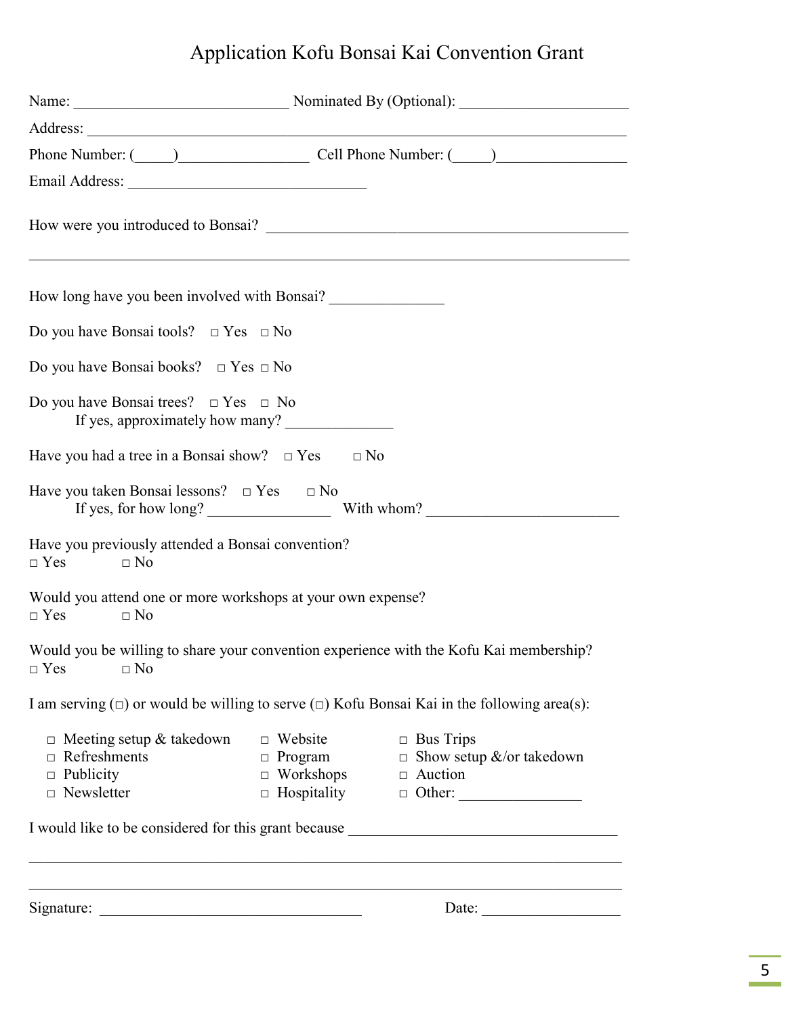# Application Kofu Bonsai Kai Convention Grant

|                                                                                          |                                                                            | Name: Nominated By (Optional):                                                                                                                                                                                                 |
|------------------------------------------------------------------------------------------|----------------------------------------------------------------------------|--------------------------------------------------------------------------------------------------------------------------------------------------------------------------------------------------------------------------------|
|                                                                                          |                                                                            |                                                                                                                                                                                                                                |
|                                                                                          |                                                                            | Phone Number: (Chamber 2011 Phone Number: (Chamber 2012 Phone Number: (Chamber 2014 Phone Number: (Chamber 2014 Phone Number: (Chamber 2014 Phone Number: (Chamber 2014 Phone Number: (Chamber 2014 Phone Number: (Chamber 201 |
|                                                                                          |                                                                            |                                                                                                                                                                                                                                |
|                                                                                          |                                                                            |                                                                                                                                                                                                                                |
| How long have you been involved with Bonsai?                                             |                                                                            |                                                                                                                                                                                                                                |
| Do you have Bonsai tools? $\Box$ Yes $\Box$ No                                           |                                                                            |                                                                                                                                                                                                                                |
| Do you have Bonsai books? $\Box$ Yes $\Box$ No                                           |                                                                            |                                                                                                                                                                                                                                |
| Do you have Bonsai trees? $\Box$ Yes $\Box$ No<br>If yes, approximately how many?        |                                                                            |                                                                                                                                                                                                                                |
| Have you had a tree in a Bonsai show? $\Box$ Yes $\Box$ No                               |                                                                            |                                                                                                                                                                                                                                |
| Have you taken Bonsai lessons? $\Box$ Yes $\Box$ No                                      |                                                                            |                                                                                                                                                                                                                                |
| Have you previously attended a Bonsai convention?<br>$\Box$ Yes<br>$\Box$ No             |                                                                            |                                                                                                                                                                                                                                |
| Would you attend one or more workshops at your own expense?<br>$\Box$ Yes<br>$\Box$ No   |                                                                            |                                                                                                                                                                                                                                |
| $\Box$ Yes $\Box$ No                                                                     |                                                                            | Would you be willing to share your convention experience with the Kofu Kai membership?                                                                                                                                         |
|                                                                                          |                                                                            | I am serving $(\square)$ or would be willing to serve $(\square)$ Kofu Bonsai Kai in the following area(s):                                                                                                                    |
| $\Box$ Meeting setup & takedown<br>Refreshments<br>$\Box$ Publicity<br>$\Box$ Newsletter | $\Box$ Website<br>$\Box$ Program<br>$\Box$ Workshops<br>$\Box$ Hospitality | $\Box$ Bus Trips<br>$\Box$ Show setup &/or takedown<br>$\Box$ Auction                                                                                                                                                          |
|                                                                                          |                                                                            | I would like to be considered for this grant because                                                                                                                                                                           |
|                                                                                          |                                                                            |                                                                                                                                                                                                                                |
|                                                                                          |                                                                            | Date:                                                                                                                                                                                                                          |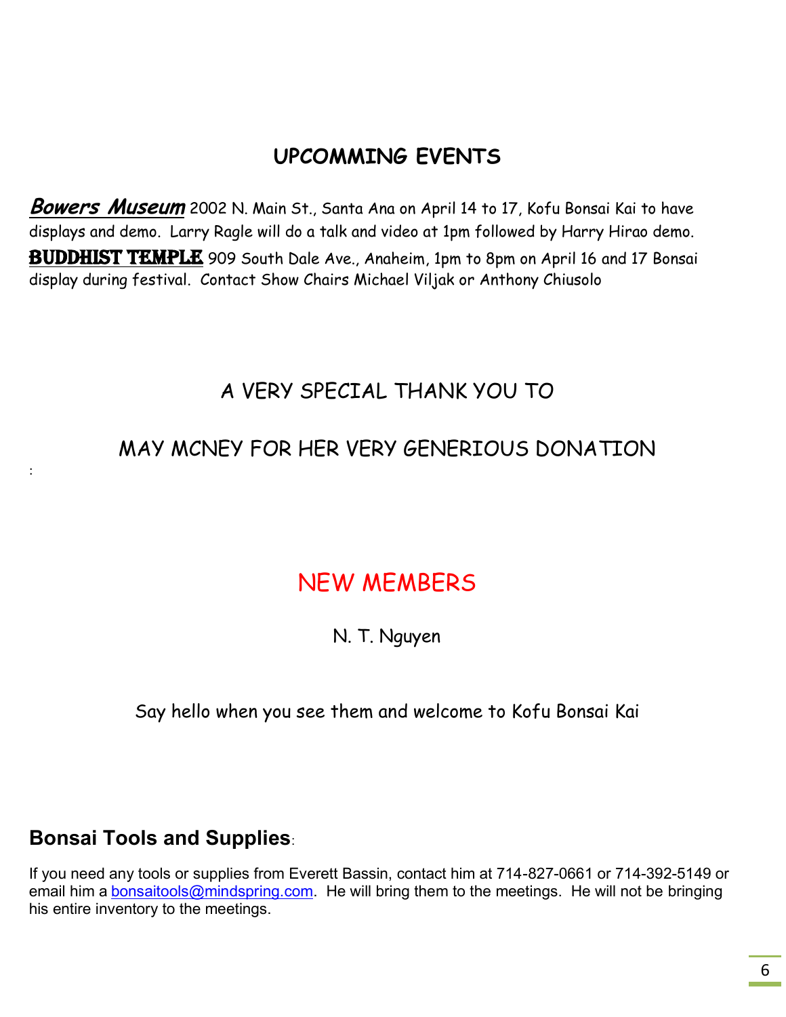# **UPCOMMING EVENTS**

**Bowers Museum** 2002 N. Main St., Santa Ana on April 14 to 17, Kofu Bonsai Kai to have displays and demo. Larry Ragle will do a talk and video at 1pm followed by Harry Hirao demo. BUDDHIST TEMPLE 909 South Dale Ave., Anaheim, 1pm to 8pm on April 16 and 17 Bonsai display during festival. Contact Show Chairs Michael Viljak or Anthony Chiusolo

## A VERY SPECIAL THANK YOU TO

# MAY MCNEY FOR HER VERY GENERIOUS DONATION

# NEW MEMBERS

N. T. Nguyen

Say hello when you see them and welcome to Kofu Bonsai Kai

### **Bonsai Tools and Supplies**:

:

If you need any tools or supplies from Everett Bassin, contact him at 714-827-0661 or 714-392-5149 or email him a **bonsaitools@mindspring.com**. He will bring them to the meetings. He will not be bringing his entire inventory to the meetings.